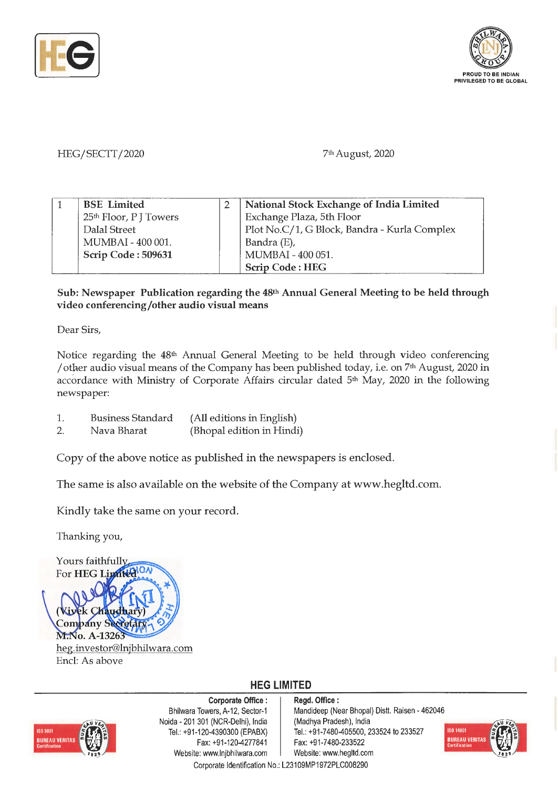



## HEG/SECTT/2020

7th August, 2020

| <b>BSE</b> Limited                 | National Stock Exchange of India Limited     |
|------------------------------------|----------------------------------------------|
| 25 <sup>th</sup> Floor, P J Towers | Exchange Plaza, 5th Floor                    |
| Dalal Street                       | Plot No.C/1, G Block, Bandra - Kurla Complex |
| MUMBAI - 400 001.                  | Bandra (E),                                  |
| Scrip Code: 509631                 | MUMBAI - 400 051.                            |
|                                    | <b>Scrip Code: HEG</b>                       |

## **Sub: Newspaper Publication regarding the 48th Annual General Meeting to be held through video conferencing/other audio visual means**

Dear Sirs,

Notice regarding the 48th Annual General Meeting to be held through video conferencing / other audio visual means of the Company has been published today, i.e. on 7<sup>th</sup> August, 2020 in accordance with Ministry of Corporate Affairs circular dated 5<sup>th</sup> May, 2020 in the following newspaper:

- 1. Business Standard (All editions in English)
- 2. Nava Bharat (Bhopal edition in Hindi)

Copy of the above notice as published in the newspapers is enclosed.

The same is also available on the website of the Company at www.hegltd.com.

Kindly take the same on your record.

Thanking you,

Yours faithfully For **HEG** Limited ON Company M.No. A-1326 heg.investor@lnjbhilwara.com Encl: As above

# **HEG LIMITED**



**Corporate Office** : Bhilwara Towers, A-12, Sector-1 Noida - 201 301 (NCR-Delhi), India Tel.: +91 -120-4390300 (EPABX) Fax:+91 -120-4277841 Website: www.lnjbhilwara.com | Website: www.hegltd.com

**Regd. Office** : Mandideep (Near Bhopal) Distt. Raisen - 462046 (Madhya Pradesh), India Tel.: +91 -7480-405500, 233524 to 233527 **Fax:** +91-7480-233522



Corporate Identification No.: L23109MP1972PLC008290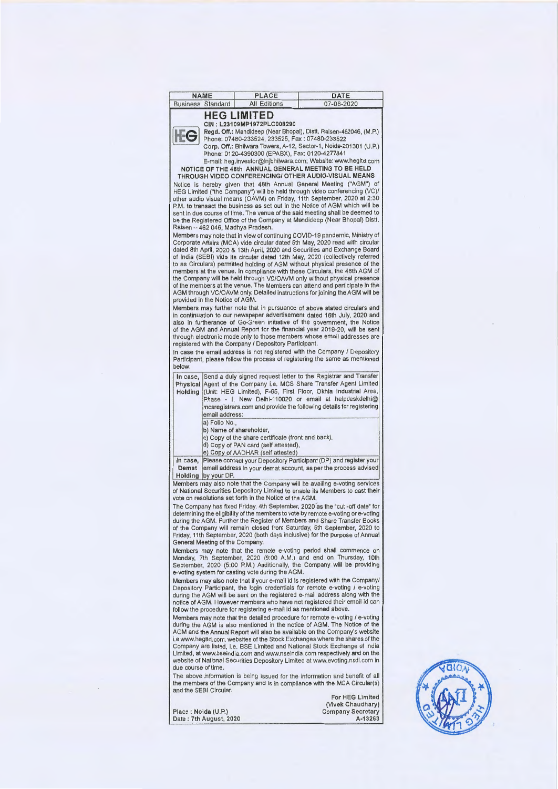| <b>NAME</b>              | PLACE               | DATE       |
|--------------------------|---------------------|------------|
| <b>Business Standard</b> | <b>All Editions</b> | 07-08-2020 |

#### **HEG LIMITED**



CIN: L23109MP1972PLC008290 Regd. Off.: Mandideep (Near Bhopal), Distt. Raisen-462046, (M.P.) Phone: 07480-233524, 233525, Fax : 07480-233522

Corp. Off.: Bhilwara Towers, A-12, Sector-1, Noida-201301 (U.P.) Phone: 01 20-4390300 (EPABX), Fax: 0120-4277841 E-mail: heg.investor@lnjbhilwara.com; Website: www.hegltd.com

NOTICE OF THE 48th ANNUAL GENERAL MEETING TO BE HELD THROUGH VIDEO CONFERENCING/ OTHER AUDIO-VISUAL **MEANS**  Notice is hereby given that 48th Annual General Meeting ("AGM") of HEG Limited ("the Company") will be held through video conferencing (VC)/<br>other audio visual means (OAVM) on Friday, 11th September, 2020 at 2:30 P.M. to transact the business as set out in the Notice of AGM which will be sent in due course of time. The venue of the said meeting shall be deemed to<br>be the Registered Office of the Company at Mandideep (Near Bhopal) Distt. Raisen - 462 046, Madhya Pradesh.

Members may note that in view of continuing COVID-19 pandemic, Ministry of Corporate Affairs (MCA) vide circular dated 5th May, 2020 read with circular dated 8th April, 2020 & 13th April, 2020 and Securities and Exchange Board of India (SEBI) vide its circular dated 12th May, 2020 (collectively referred to as Circulars) permitted holding of AGM without physical presence of the members at the venue. In compliance with these Circulars, the 48th AGM of the Company will be held through VC/OAVM only without physical presence of the members at the venue. The Members can attend and participate in the AGM through VC/OAVM only. Detailed instructions for joining the AGM will be provided in the Notice of AGM.

Members may further note that in pursuance of above stated circulars and in continuation to our newspaper advertisement dated 16th July, 2020 and also in furtherance of Go-Green initiative of the government, the Notice of the AGM and Annual Report for the financial year 2019-20, will be sent through electronic mode only to those members whose email addresses are registered with the Company/ Depository Participant.

In case the email address is not registered with the Company / Depository Participant, please follow the process of registering the same as mentioned below:

**In case,** Send a duly signed request letter to the Registrar and Transfer **Physical** Agent of the Company i.e. MCS Share Transfer Agent Limited

Holding (Unit: HEG Limited), F-65, First Floor, Okhla Industrial Area, Phase - I, New Delhi-110020 or email at helpdeskdelhi@ mcsregistrars.com and provide the following details for registering email address:

a) Folio No., b) Name of shareholder,

c) Copy of the share certificate (front and back),

d) Copy of PAN card (self attested),

e) Copy of AADHAR (self attested)

In case, Please contact your Depository Participant (DP) and register your Demat email address in your demat account, as per the process advised Holding by your DP.

Members may also note that the Company will be availing e-voting services of National Securities Depository Limited to enable its Members to cast their vote on resolutions set forth in the Notice of the AGM.

The Company has fixed Friday, 4th September, 2020 as the "cut -off date" for determining the eligibility of the members to vote by remote e-voting or e-voting during the AGM. Further the Register of Members and Share Transfer Books of the Company will remain closed from Saturday, 5th September, 2020 to Friday, 11th September, 2020 (both days inclusive) for the purpose of Annual General Meeting of the Company.

Members may note that the remote e-voting period shall commence on Monday, 7th September, 2020 (9:00 A.M.) and end on Thursday, 10th September, 2020 (5:00 P.M.) Additionally, the Company will be providing<br>e-voting system for casting vote during the AGM.

Members may also note that if your e-mail id is registered with the Company/ Depository Participant, the login credentials for remote e-voting / e-voting during the AGM will be sent on the registered e-mail address along with the notice of AGM. However members who have not registered their email-id can follow the procedure for registering e-mail id as mentioned above.

Members may note that the detailed procedure for remote e-voting / e-voting during the AGM is also mentioned in the notice of AGM. The Notice of the AGM and the Annual Report will also be available on the Company's website i.e www.hegltd.com, websites of the Stock Exchanges where the shares of the Company are listed, i.e. BSE Limited and National Stock Exchange of India Limited, at www.bseindia.com and www.nseindia.com respectively and on the website of National Securities Depository Limited at www.evoting.nsdl.com in due course of time.

The above information is being issued for the information and benefit of all the members of the Company and is in compliance with the MCA Circular(s) and the SEBI Circular.

Place : Naida (U.P.) Date : 7th August, 2020

For HEG Limited (Vivek Chaudhary) Company Secretary A-13263